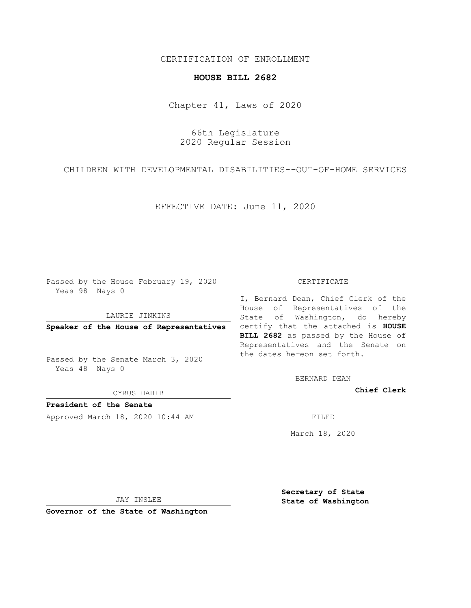## CERTIFICATION OF ENROLLMENT

## **HOUSE BILL 2682**

Chapter 41, Laws of 2020

66th Legislature 2020 Regular Session

CHILDREN WITH DEVELOPMENTAL DISABILITIES--OUT-OF-HOME SERVICES

EFFECTIVE DATE: June 11, 2020

Passed by the House February 19, 2020 Yeas 98 Nays 0

LAURIE JINKINS

Passed by the Senate March 3, 2020 Yeas 48 Nays 0

CYRUS HABIB

**President of the Senate**

Approved March 18, 2020 10:44 AM

## CERTIFICATE

**Speaker of the House of Representatives** certify that the attached is **HOUSE** I, Bernard Dean, Chief Clerk of the House of Representatives of the State of Washington, do hereby **BILL 2682** as passed by the House of Representatives and the Senate on the dates hereon set forth.

BERNARD DEAN

**Chief Clerk**

March 18, 2020

JAY INSLEE

**Governor of the State of Washington**

**Secretary of State State of Washington**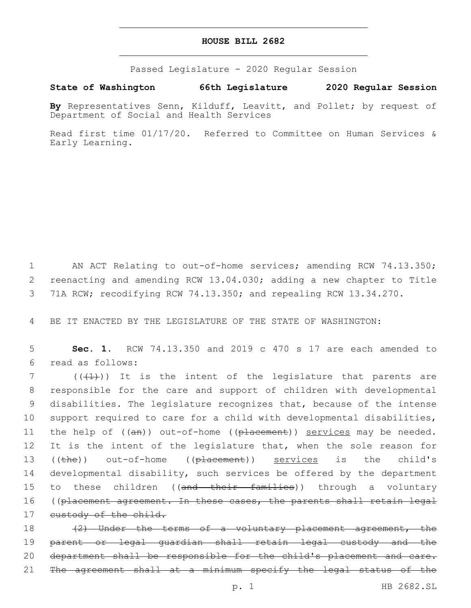## **HOUSE BILL 2682**

Passed Legislature - 2020 Regular Session

**State of Washington 66th Legislature 2020 Regular Session**

**By** Representatives Senn, Kilduff, Leavitt, and Pollet; by request of Department of Social and Health Services

Read first time 01/17/20. Referred to Committee on Human Services & Early Learning.

1 AN ACT Relating to out-of-home services; amending RCW 74.13.350; 2 reenacting and amending RCW 13.04.030; adding a new chapter to Title 3 71A RCW; recodifying RCW 74.13.350; and repealing RCW 13.34.270.

4 BE IT ENACTED BY THE LEGISLATURE OF THE STATE OF WASHINGTON:

5 **Sec. 1.** RCW 74.13.350 and 2019 c 470 s 17 are each amended to read as follows:6

 $7$  (( $(1)$ )) It is the intent of the legislature that parents are 8 responsible for the care and support of children with developmental 9 disabilities. The legislature recognizes that, because of the intense 10 support required to care for a child with developmental disabilities, 11 the help of ((an)) out-of-home ((placement)) services may be needed. 12 It is the intent of the legislature that, when the sole reason for 13 ((the)) out-of-home ((placement)) services is the child's 14 developmental disability, such services be offered by the department 15 to these children ((<del>and their families</del>)) through a voluntary 16 ((placement agreement. In these cases, the parents shall retain legal 17 custody of the child.

18 (2) Under the terms of a voluntary placement agreement, the 19 parent or legal guardian shall retain legal custody and the 20 department shall be responsible for the child's placement and care. 21 The agreement shall at a minimum specify the legal status of the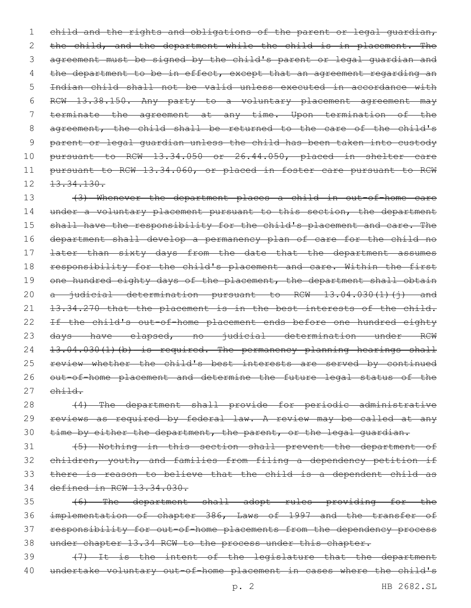1 child and the rights and obligations of the parent or legal quardian, 2 the child, and the department while the child is in placement. The agreement must be signed by the child's parent or legal guardian and 4 the department to be in effect, except that an agreement regarding an Indian child shall not be valid unless executed in accordance with RCW 13.38.150. Any party to a voluntary placement agreement may terminate the agreement at any time. Upon termination of the agreement, the child shall be returned to the care of the child's parent or legal guardian unless the child has been taken into custody pursuant to RCW 13.34.050 or 26.44.050, placed in shelter care pursuant to RCW 13.34.060, or placed in foster care pursuant to RCW  $12.33.34.130.$ 

13 (3) Whenever the department places a child in out-of-home care 14 under a voluntary placement pursuant to this section, the department 15 shall have the responsibility for the child's placement and care. The 16 department shall develop a permanency plan of care for the child no 17 <del>later than sixty days from the date that the department assumes</del> 18 responsibility for the child's placement and care. Within the first 19 one hundred eighty days of the placement, the department shall obtain 20 a judicial determination pursuant to RCW 13.04.030(1)(j) and 21 13.34.270 that the placement is in the best interests of the child. 22 If the child's out-of-home placement ends before one hundred eighty 23 days have elapsed, no judicial determination under RCW 24 13.04.030(1)(b) is required. The permanency planning hearings shall 25 review whether the child's best interests are served by continued 26 out-of-home placement and determine the future legal status of the  $27$   $\epsilon$ hild.

28 (4) The department shall provide for periodic administrative 29 reviews as required by federal law. A review may be called at any 30 time by either the department, the parent, or the legal guardian.

 (5) Nothing in this section shall prevent the department of children, youth, and families from filing a dependency petition if there is reason to believe that the child is a dependent child as defined in RCW 13.34.030.

 (6) The department shall adopt rules providing for the implementation of chapter 386, Laws of 1997 and the transfer of responsibility for out-of-home placements from the dependency process under chapter 13.34 RCW to the process under this chapter.

39 (7) It is the intent of the legislature that the department 40 undertake voluntary out-of-home placement in cases where the child's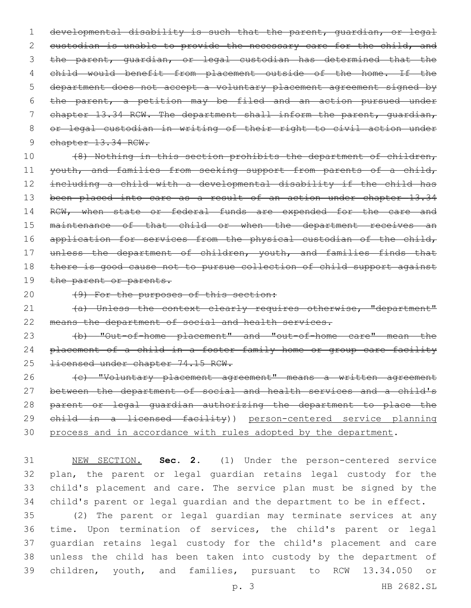developmental disability is such that the parent, guardian, or legal 2 custodian is unable to provide the necessary care for the child, and the parent, guardian, or legal custodian has determined that the child would benefit from placement outside of the home. If the department does not accept a voluntary placement agreement signed by the parent, a petition may be filed and an action pursued under 7 chapter 13.34 RCW. The department shall inform the parent, quardian, or legal custodian in writing of their right to civil action under 9 chapter 13.34 RCW.

10 (8) Nothing in this section prohibits the department of children, 11 youth, and families from seeking support from parents of a child, 12 including a child with a developmental disability if the child has 13 been placed into care as a result of an action under chapter 13.34 14 RCW, when state or federal funds are expended for the care and 15 maintenance of that child or when the department receives an 16 application for services from the physical custodian of the child, 17 unless the department of children, youth, and families finds that 18 there is good cause not to pursue collection of child support against 19 the parent or parents.

20 (9) For the purposes of this section:

21 (a) Unless the context clearly requires otherwise, "department" 22 means the department of social and health services.

23 (b) "Out-of-home placement" and "out-of-home care" mean the 24 placement of a child in a foster family home or group care facility 25 <del>licensed under chapter 74.15 RCW.</del>

26 (c) "Voluntary placement agreement" means a written agreement 27 between the department of social and health services and a child's 28 parent or legal guardian authorizing the department to place the 29 child in a licensed facility)) person-centered service planning 30 process and in accordance with rules adopted by the department.

 NEW SECTION. **Sec. 2.** (1) Under the person-centered service plan, the parent or legal guardian retains legal custody for the child's placement and care. The service plan must be signed by the child's parent or legal guardian and the department to be in effect.

 (2) The parent or legal guardian may terminate services at any time. Upon termination of services, the child's parent or legal guardian retains legal custody for the child's placement and care unless the child has been taken into custody by the department of children, youth, and families, pursuant to RCW 13.34.050 or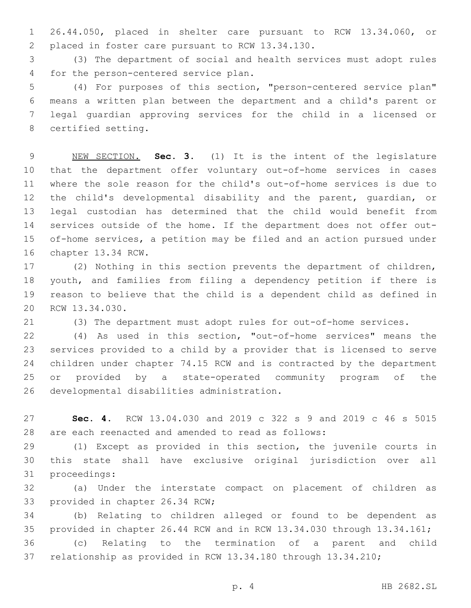26.44.050, placed in shelter care pursuant to RCW 13.34.060, or 2 placed in foster care pursuant to RCW 13.34.130.

 (3) The department of social and health services must adopt rules 4 for the person-centered service plan.

 (4) For purposes of this section, "person-centered service plan" means a written plan between the department and a child's parent or legal guardian approving services for the child in a licensed or 8 certified setting.

 NEW SECTION. **Sec. 3.** (1) It is the intent of the legislature that the department offer voluntary out-of-home services in cases where the sole reason for the child's out-of-home services is due to the child's developmental disability and the parent, guardian, or legal custodian has determined that the child would benefit from services outside of the home. If the department does not offer out- of-home services, a petition may be filed and an action pursued under chapter 13.34 RCW.

 (2) Nothing in this section prevents the department of children, youth, and families from filing a dependency petition if there is reason to believe that the child is a dependent child as defined in 20 RCW 13.34.030.

(3) The department must adopt rules for out-of-home services.

 (4) As used in this section, "out-of-home services" means the services provided to a child by a provider that is licensed to serve children under chapter 74.15 RCW and is contracted by the department or provided by a state-operated community program of the 26 developmental disabilities administration.

 **Sec. 4.** RCW 13.04.030 and 2019 c 322 s 9 and 2019 c 46 s 5015 are each reenacted and amended to read as follows:

 (1) Except as provided in this section, the juvenile courts in this state shall have exclusive original jurisdiction over all 31 proceedings:

 (a) Under the interstate compact on placement of children as 33 provided in chapter 26.34 RCW;

 (b) Relating to children alleged or found to be dependent as provided in chapter 26.44 RCW and in RCW 13.34.030 through 13.34.161;

 (c) Relating to the termination of a parent and child relationship as provided in RCW 13.34.180 through 13.34.210;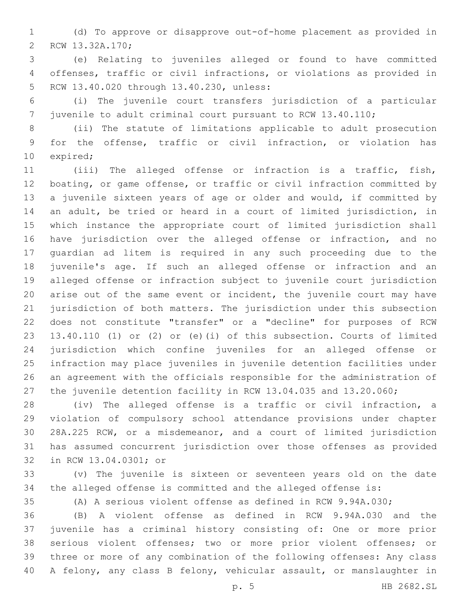(d) To approve or disapprove out-of-home placement as provided in 2 RCW 13.32A.170;

 (e) Relating to juveniles alleged or found to have committed offenses, traffic or civil infractions, or violations as provided in 5 RCW 13.40.020 through 13.40.230, unless:

 (i) The juvenile court transfers jurisdiction of a particular juvenile to adult criminal court pursuant to RCW 13.40.110;

 (ii) The statute of limitations applicable to adult prosecution for the offense, traffic or civil infraction, or violation has 10 expired;

 (iii) The alleged offense or infraction is a traffic, fish, boating, or game offense, or traffic or civil infraction committed by a juvenile sixteen years of age or older and would, if committed by an adult, be tried or heard in a court of limited jurisdiction, in which instance the appropriate court of limited jurisdiction shall have jurisdiction over the alleged offense or infraction, and no guardian ad litem is required in any such proceeding due to the juvenile's age. If such an alleged offense or infraction and an alleged offense or infraction subject to juvenile court jurisdiction arise out of the same event or incident, the juvenile court may have jurisdiction of both matters. The jurisdiction under this subsection does not constitute "transfer" or a "decline" for purposes of RCW 13.40.110 (1) or (2) or (e)(i) of this subsection. Courts of limited jurisdiction which confine juveniles for an alleged offense or infraction may place juveniles in juvenile detention facilities under an agreement with the officials responsible for the administration of the juvenile detention facility in RCW 13.04.035 and 13.20.060;

 (iv) The alleged offense is a traffic or civil infraction, a violation of compulsory school attendance provisions under chapter 28A.225 RCW, or a misdemeanor, and a court of limited jurisdiction has assumed concurrent jurisdiction over those offenses as provided 32 in RCW 13.04.0301; or

 (v) The juvenile is sixteen or seventeen years old on the date the alleged offense is committed and the alleged offense is:

(A) A serious violent offense as defined in RCW 9.94A.030;

 (B) A violent offense as defined in RCW 9.94A.030 and the juvenile has a criminal history consisting of: One or more prior serious violent offenses; two or more prior violent offenses; or three or more of any combination of the following offenses: Any class A felony, any class B felony, vehicular assault, or manslaughter in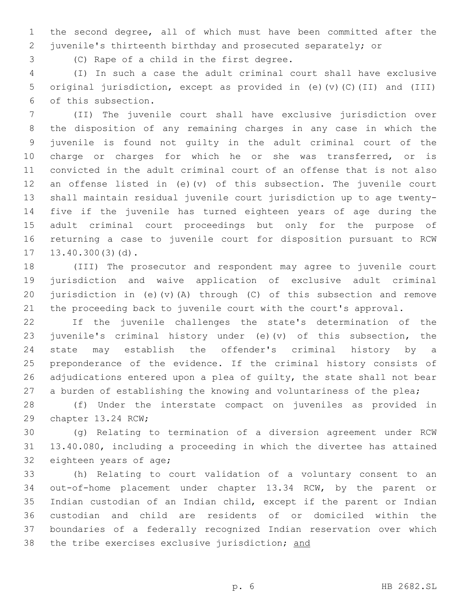the second degree, all of which must have been committed after the juvenile's thirteenth birthday and prosecuted separately; or

3 (C) Rape of a child in the first degree.

 (I) In such a case the adult criminal court shall have exclusive original jurisdiction, except as provided in (e)(v)(C)(II) and (III) 6 of this subsection.

 (II) The juvenile court shall have exclusive jurisdiction over the disposition of any remaining charges in any case in which the juvenile is found not guilty in the adult criminal court of the 10 charge or charges for which he or she was transferred, or is convicted in the adult criminal court of an offense that is not also an offense listed in (e)(v) of this subsection. The juvenile court shall maintain residual juvenile court jurisdiction up to age twenty- five if the juvenile has turned eighteen years of age during the adult criminal court proceedings but only for the purpose of returning a case to juvenile court for disposition pursuant to RCW  $13.40.300(3)(d)$ .

 (III) The prosecutor and respondent may agree to juvenile court jurisdiction and waive application of exclusive adult criminal jurisdiction in (e)(v)(A) through (C) of this subsection and remove the proceeding back to juvenile court with the court's approval.

 If the juvenile challenges the state's determination of the juvenile's criminal history under (e)(v) of this subsection, the state may establish the offender's criminal history by a preponderance of the evidence. If the criminal history consists of adjudications entered upon a plea of guilty, the state shall not bear 27 a burden of establishing the knowing and voluntariness of the plea;

 (f) Under the interstate compact on juveniles as provided in 29 chapter 13.24 RCW;

 (g) Relating to termination of a diversion agreement under RCW 13.40.080, including a proceeding in which the divertee has attained 32 eighteen years of age;

 (h) Relating to court validation of a voluntary consent to an out-of-home placement under chapter 13.34 RCW, by the parent or Indian custodian of an Indian child, except if the parent or Indian custodian and child are residents of or domiciled within the boundaries of a federally recognized Indian reservation over which 38 the tribe exercises exclusive jurisdiction; and